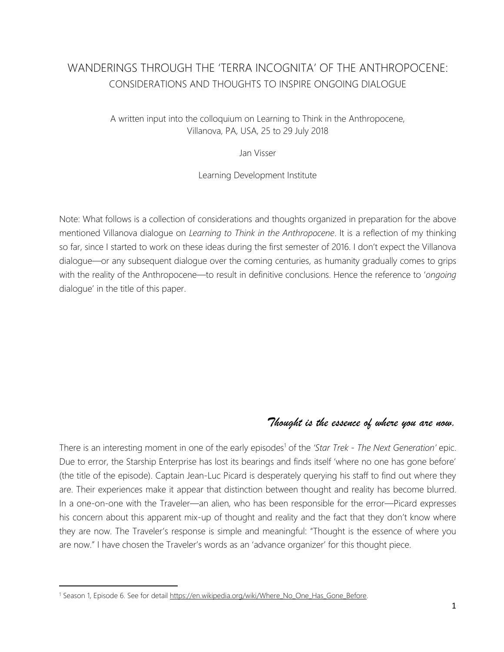# WANDERINGS THROUGH THE 'TERRA INCOGNITA' OF THE ANTHROPOCENE: CONSIDERATIONS AND THOUGHTS TO INSPIRE ONGOING DIALOGUE

A written input into the colloquium on Learning to Think in the Anthropocene, Villanova, PA, USA, 25 to 29 July 2018

### Jan Visser

### Learning Development Institute

Note: What follows is a collection of considerations and thoughts organized in preparation for the above mentioned Villanova dialogue on *Learning to Think in the Anthropocene*. It is a reflection of my thinking so far, since I started to work on these ideas during the first semester of 2016. I don't expect the Villanova dialogue—or any subsequent dialogue over the coming centuries, as humanity gradually comes to grips with the reality of the Anthropocene—to result in definitive conclusions. Hence the reference to '*ongoing* dialogue' in the title of this paper.

## *Thought is the essence of where you are now.*

There is an interesting moment in one of the early episodes<sup>1</sup> of the '*Star Trek - The Next Generation'* epic. Due to error, the Starship Enterprise has lost its bearings and finds itself 'where no one has gone before' (the title of the episode). Captain Jean-Luc Picard is desperately querying his staff to find out where they are. Their experiences make it appear that distinction between thought and reality has become blurred. In a one-on-one with the Traveler—an alien, who has been responsible for the error—Picard expresses his concern about this apparent mix-up of thought and reality and the fact that they don't know where they are now. The Traveler's response is simple and meaningful: "Thought is the essence of where you are now." I have chosen the Traveler's words as an 'advance organizer' for this thought piece.

 $\overline{\phantom{a}}$ 

<sup>&</sup>lt;sup>1</sup> Season 1, Episode 6. See for detail https://en.wikipedia.org/wiki/Where\_No\_One\_Has\_Gone\_Before.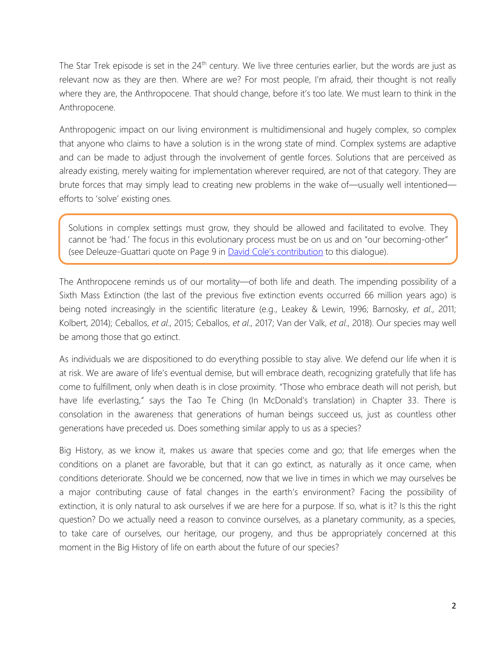The Star Trek episode is set in the 24<sup>th</sup> century. We live three centuries earlier, but the words are just as relevant now as they are then. Where are we? For most people, I'm afraid, their thought is not really where they are, the Anthropocene. That should change, before it's too late. We must learn to think in the Anthropocene.

Anthropogenic impact on our living environment is multidimensional and hugely complex, so complex that anyone who claims to have a solution is in the wrong state of mind. Complex systems are adaptive and can be made to adjust through the involvement of gentle forces. Solutions that are perceived as already existing, merely waiting for implementation wherever required, are not of that category. They are brute forces that may simply lead to creating new problems in the wake of—usually well intentioned efforts to 'solve' existing ones.

Solutions in complex settings must grow, they should be allowed and facilitated to evolve. They cannot be 'had.' The focus in this evolutionary process must be on us and on "our becoming-other" (see Deleuze-Guattari quote on Page 9 in **David Cole['s contribution](http://learndev.org/dl/HLA-IBHA2018/Cole%2C%20D.%20R.%20(2018).%20Learning%20to%20think%20in%20the%20Anthropocene.pdf)** to this dialogue).

The Anthropocene reminds us of our mortality—of both life and death. The impending possibility of a Sixth Mass Extinction (the last of the previous five extinction events occurred 66 million years ago) is being noted increasingly in the scientific literature (e.g., Leakey & Lewin, 1996; Barnosky, *et al*., 2011; Kolbert, 2014); Ceballos, *et al*., 2015; Ceballos, *et al*., 2017; Van der Valk, *et al*., 2018). Our species may well be among those that go extinct.

As individuals we are dispositioned to do everything possible to stay alive. We defend our life when it is at risk. We are aware of life's eventual demise, but will embrace death, recognizing gratefully that life has come to fulfillment, only when death is in close proximity. "Those who embrace death will not perish, but have life everlasting," says the Tao Te Ching (In McDonald's translation) in Chapter 33. There is consolation in the awareness that generations of human beings succeed us, just as countless other generations have preceded us. Does something similar apply to us as a species?

Big History, as we know it, makes us aware that species come and go; that life emerges when the conditions on a planet are favorable, but that it can go extinct, as naturally as it once came, when conditions deteriorate. Should we be concerned, now that we live in times in which we may ourselves be a major contributing cause of fatal changes in the earth's environment? Facing the possibility of extinction, it is only natural to ask ourselves if we are here for a purpose. If so, what is it? Is this the right question? Do we actually need a reason to convince ourselves, as a planetary community, as a species, to take care of ourselves, our heritage, our progeny, and thus be appropriately concerned at this moment in the Big History of life on earth about the future of our species?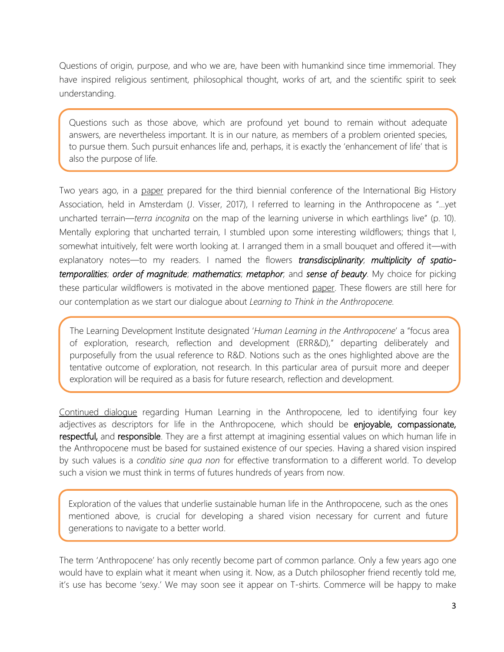Questions of origin, purpose, and who we are, have been with humankind since time immemorial. They have inspired religious sentiment, philosophical thought, works of art, and the scientific spirit to seek understanding.

Questions such as those above, which are profound yet bound to remain without adequate answers, are nevertheless important. It is in our nature, as members of a problem oriented species, to pursue them. Such pursuit enhances life and, perhaps, it is exactly the 'enhancement of life' that is also the purpose of life.

Two years ago, in a [paper](https://tinyurl.com/y8hkqe5p) prepared for the third biennial conference of the International Big History Association, held in Amsterdam (J. Visser, 2017), I referred to learning in the Anthropocene as "…yet uncharted terrain—*terra incognita* on the map of the learning universe in which earthlings live" (p. 10). Mentally exploring that uncharted terrain, I stumbled upon some interesting wildflowers; things that I, somewhat intuitively, felt were worth looking at. I arranged them in a small bouquet and offered it—with explanatory notes—to my readers. I named the flowers *transdisciplinarity*; *multiplicity of spatiotemporalities*; *order of magnitude*; *mathematics*; *metaphor*; and *sense of beauty*. My choice for picking these particular wildflowers is motivated in the above mentioned [paper.](https://tinyurl.com/y8hkqe5p) These flowers are still here for our contemplation as we start our dialogue about *Learning to Think in the Anthropocene.*

The Learning Development Institute designated '*Human Learning in the Anthropocene*' a "focus area of exploration, research, reflection and development (ERR&D)," departing deliberately and purposefully from the usual reference to R&D. Notions such as the ones highlighted above are the tentative outcome of exploration, not research. In this particular area of pursuit more and deeper exploration will be required as a basis for future research, reflection and development.

[Continued dialogue](http://learndev.org/LSC_17-03-26_Lienden.html) regarding Human Learning in the Anthropocene, led to identifying four key adjectives as descriptors for life in the Anthropocene, which should be enjoyable, compassionate, respectful, and responsible. They are a first attempt at imagining essential values on which human life in the Anthropocene must be based for sustained existence of our species. Having a shared vision inspired by such values is a *conditio sine qua non* for effective transformation to a different world. To develop such a vision we must think in terms of futures hundreds of years from now.

Exploration of the values that underlie sustainable human life in the Anthropocene, such as the ones mentioned above, is crucial for developing a shared vision necessary for current and future generations to navigate to a better world.

The term 'Anthropocene' has only recently become part of common parlance. Only a few years ago one would have to explain what it meant when using it. Now, as a Dutch philosopher friend recently told me, it's use has become 'sexy.' We may soon see it appear on T-shirts. Commerce will be happy to make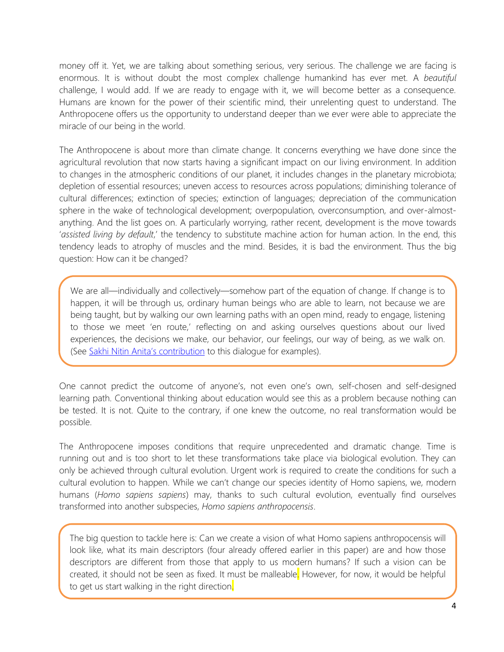money off it. Yet, we are talking about something serious, very serious. The challenge we are facing is enormous. It is without doubt the most complex challenge humankind has ever met. A *beautiful* challenge, I would add. If we are ready to engage with it, we will become better as a consequence. Humans are known for the power of their scientific mind, their unrelenting quest to understand. The Anthropocene offers us the opportunity to understand deeper than we ever were able to appreciate the miracle of our being in the world.

The Anthropocene is about more than climate change. It concerns everything we have done since the agricultural revolution that now starts having a significant impact on our living environment. In addition to changes in the atmospheric conditions of our planet, it includes changes in the planetary microbiota; depletion of essential resources; uneven access to resources across populations; diminishing tolerance of cultural differences; extinction of species; extinction of languages; depreciation of the communication sphere in the wake of technological development; overpopulation, overconsumption, and over-almostanything. And the list goes on. A particularly worrying, rather recent, development is the move towards '*assisted living by default*,' the tendency to substitute machine action for human action. In the end, this tendency leads to atrophy of muscles and the mind. Besides, it is bad the environment. Thus the big question: How can it be changed?

We are all—individually and collectively—somehow part of the equation of change. If change is to happen, it will be through us, ordinary human beings who are able to learn, not because we are being taught, but by walking our own learning paths with an open mind, ready to engage, listening to those we meet 'en route,' reflecting on and asking ourselves questions about our lived experiences, the decisions we make, our behavior, our feelings, our way of being, as we walk on. (See [Sakhi Nitin Anita's contribution](http://learndev.org/dl/HLA-IBHA2018/Sakhi_Nitin_Anita%20-%20Transforming_Learning_for_Transformation.pdf) to this dialogue for examples).

One cannot predict the outcome of anyone's, not even one's own, self-chosen and self-designed learning path. Conventional thinking about education would see this as a problem because nothing can be tested. It is not. Quite to the contrary, if one knew the outcome, no real transformation would be possible.

The Anthropocene imposes conditions that require unprecedented and dramatic change. Time is running out and is too short to let these transformations take place via biological evolution. They can only be achieved through cultural evolution. Urgent work is required to create the conditions for such a cultural evolution to happen. While we can't change our species identity of Homo sapiens, we, modern humans (*Homo sapiens sapiens*) may, thanks to such cultural evolution, eventually find ourselves transformed into another subspecies, *Homo sapiens anthropocensis*.

The big question to tackle here is: Can we create a vision of what Homo sapiens anthropocensis will look like, what its main descriptors (four already offered earlier in this paper) are and how those descriptors are different from those that apply to us modern humans? If such a vision can be created, it should not be seen as fixed. It must be malleable. However, for now, it would be helpful to get us start walking in the right direction.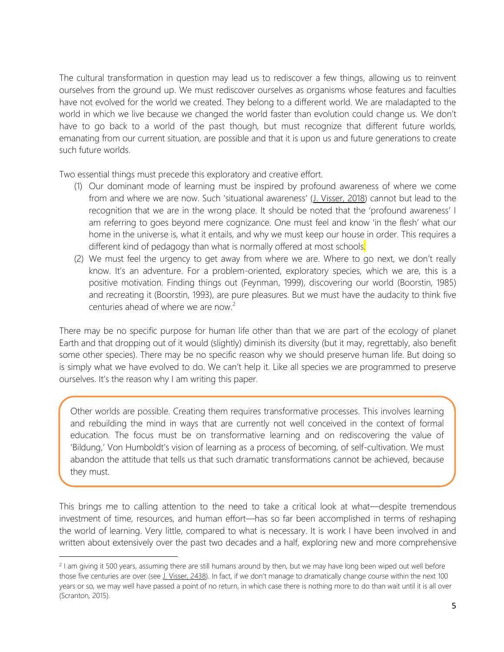The cultural transformation in question may lead us to rediscover a few things, allowing us to reinvent ourselves from the ground up. We must rediscover ourselves as organisms whose features and faculties have not evolved for the world we created. They belong to a different world. We are maladapted to the world in which we live because we changed the world faster than evolution could change us. We don't have to go back to a world of the past though, but must recognize that different future worlds, emanating from our current situation, are possible and that it is upon us and future generations to create such future worlds.

Two essential things must precede this exploratory and creative effort.

- (1) Our dominant mode of learning must be inspired by profound awareness of where we come from and where we are now. Such 'situational awareness' (*J. Visser, 2018*) cannot but lead to the recognition that we are in the wrong place. It should be noted that the 'profound awareness' I am referring to goes beyond mere cognizance. One must feel and know 'in the flesh' what our home in the universe is, what it entails, and why we must keep our house in order. This requires a different kind of pedagogy than what is normally offered at most schools.
- (2) We must feel the urgency to get away from where we are. Where to go next, we don't really know. It's an adventure. For a problem-oriented, exploratory species, which we are, this is a positive motivation. Finding things out (Feynman, 1999), discovering our world (Boorstin, 1985) and recreating it (Boorstin, 1993), are pure pleasures. But we must have the audacity to think five centuries ahead of where we are now.<sup>2</sup>

There may be no specific purpose for human life other than that we are part of the ecology of planet Earth and that dropping out of it would (slightly) diminish its diversity (but it may, regrettably, also benefit some other species). There may be no specific reason why we should preserve human life. But doing so is simply what we have evolved to do. We can't help it. Like all species we are programmed to preserve ourselves. It's the reason why I am writing this paper.

Other worlds are possible. Creating them requires transformative processes. This involves learning and rebuilding the mind in ways that are currently not well conceived in the context of formal education. The focus must be on transformative learning and on rediscovering the value of 'Bildung,' Von Humboldt's vision of learning as a process of becoming, of self-cultivation. We must abandon the attitude that tells us that such dramatic transformations cannot be achieved, because they must.

This brings me to calling attention to the need to take a critical look at what—despite tremendous investment of time, resources, and human effort—has so far been accomplished in terms of reshaping the world of learning. Very little, compared to what is necessary. It is work I have been involved in and written about extensively over the past two decades and a half, exploring new and more comprehensive

l

<sup>&</sup>lt;sup>2</sup> I am giving it 500 years, assuming there are still humans around by then, but we may have long been wiped out well before those five centuries are over (se[e J. Visser, 2438\)](https://tinyurl.com/y9smf4y4). In fact, if we don't manage to dramatically change course within the next 100 years or so, we may well have passed a point of no return, in which case there is nothing more to do than wait until it is all over (Scranton, 2015).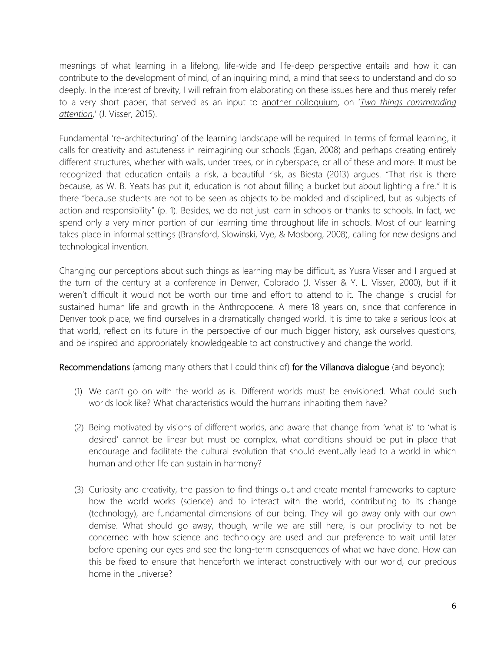meanings of what learning in a lifelong, life-wide and life-deep perspective entails and how it can contribute to the development of mind, of an inquiring mind, a mind that seeks to understand and do so deeply. In the interest of brevity, I will refrain from elaborating on these issues here and thus merely refer to a very short paper, that served as an input to [another colloquium,](http://learndev.org/BtSM2015.html) on '*[Two things commanding](http://learndev.org/dl/BtSM2015/Two%20things%20commanding%20attention%20(J.Visser).pdf)  [attention](http://learndev.org/dl/BtSM2015/Two%20things%20commanding%20attention%20(J.Visser).pdf)*,' (J. Visser, 2015).

Fundamental 're-architecturing' of the learning landscape will be required. In terms of formal learning, it calls for creativity and astuteness in reimagining our schools (Egan, 2008) and perhaps creating entirely different structures, whether with walls, under trees, or in cyberspace, or all of these and more. It must be recognized that education entails a risk, a beautiful risk, as Biesta (2013) argues. "That risk is there because, as W. B. Yeats has put it, education is not about filling a bucket but about lighting a fire." It is there "because students are not to be seen as objects to be molded and disciplined, but as subjects of action and responsibility" (p. 1). Besides, we do not just learn in schools or thanks to schools. In fact, we spend only a very minor portion of our learning time throughout life in schools. Most of our learning takes place in informal settings (Bransford, Slowinski, Vye, & Mosborg, 2008), calling for new designs and technological invention.

Changing our perceptions about such things as learning may be difficult, as Yusra Visser and I argued at the turn of the century at a conference in Denver, Colorado (J. Visser & Y. L. Visser, 2000), but if it weren't difficult it would not be worth our time and effort to attend to it. The change is crucial for sustained human life and growth in the Anthropocene. A mere 18 years on, since that conference in Denver took place, we find ourselves in a dramatically changed world. It is time to take a serious look at that world, reflect on its future in the perspective of our much bigger history, ask ourselves questions, and be inspired and appropriately knowledgeable to act constructively and change the world.

Recommendations (among many others that I could think of) for the Villanova dialogue (and beyond):

- (1) We can't go on with the world as is. Different worlds must be envisioned. What could such worlds look like? What characteristics would the humans inhabiting them have?
- (2) Being motivated by visions of different worlds, and aware that change from 'what is' to 'what is desired' cannot be linear but must be complex, what conditions should be put in place that encourage and facilitate the cultural evolution that should eventually lead to a world in which human and other life can sustain in harmony?
- (3) Curiosity and creativity, the passion to find things out and create mental frameworks to capture how the world works (science) and to interact with the world, contributing to its change (technology), are fundamental dimensions of our being. They will go away only with our own demise. What should go away, though, while we are still here, is our proclivity to not be concerned with how science and technology are used and our preference to wait until later before opening our eyes and see the long-term consequences of what we have done. How can this be fixed to ensure that henceforth we interact constructively with our world, our precious home in the universe?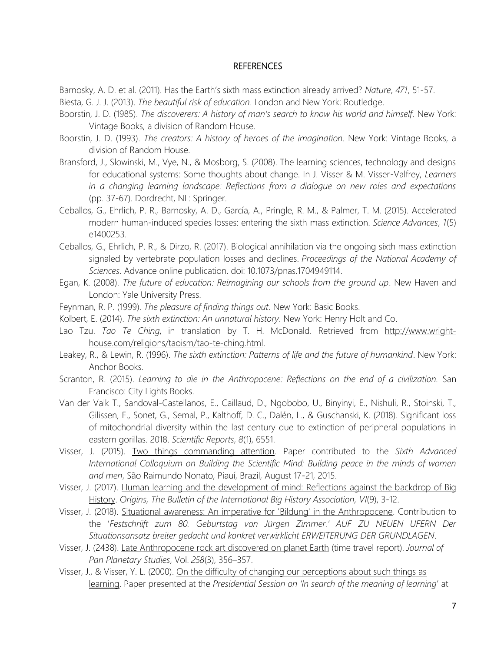### REFERENCES

Barnosky, A. D. et al. (2011). Has the Earth's sixth mass extinction already arrived? *Nature*, *471*, 51-57.

- Biesta, G. J. J. (2013). *The beautiful risk of education*. London and New York: Routledge.
- Boorstin, J. D. (1985). *The discoverers: A history of man's search to know his world and himself*. New York: Vintage Books, a division of Random House.
- Boorstin, J. D. (1993). *The creators: A history of heroes of the imagination*. New York: Vintage Books, a division of Random House.
- Bransford, J., Slowinski, M., Vye, N., & Mosborg, S. (2008). The learning sciences, technology and designs for educational systems: Some thoughts about change. In J. Visser & M. Visser-Valfrey, *Learners in a changing learning landscape: Reflections from a dialogue on new roles and expectations* (pp. 37-67). Dordrecht, NL: Springer.
- Ceballos, G., Ehrlich, P. R., Barnosky, A. D., García, A., Pringle, R. M., & Palmer, T. M. (2015). Accelerated modern human-induced species losses: entering the sixth mass extinction. *Science Advances*, *1*(5) e1400253.
- Ceballos, G., Ehrlich, P. R., & Dirzo, R. (2017). Biological annihilation via the ongoing sixth mass extinction signaled by vertebrate population losses and declines. *Proceedings of the National Academy of Sciences*. Advance online publication. doi: 10.1073/pnas.1704949114.
- Egan, K. (2008). *The future of education: Reimagining our schools from the ground up*. New Haven and London: Yale University Press.
- Feynman, R. P. (1999). *The pleasure of finding things out*. New York: Basic Books.
- Kolbert, E. (2014). *The sixth extinction: An unnatural history*. New York: Henry Holt and Co.
- Lao Tzu. *Tao Te Ching*, in translation by T. H. McDonald. Retrieved from [http://www.wright](http://www.wright-house.com/religions/taoism/tao-te-ching.html)[house.com/religions/taoism/tao-te-ching.html.](http://www.wright-house.com/religions/taoism/tao-te-ching.html)
- Leakey, R., & Lewin, R. (1996). *The sixth extinction: Patterns of life and the future of humankind*. New York: Anchor Books.
- Scranton, R. (2015). *Learning to die in the Anthropocene: Reflections on the end of a civilization*. San Francisco: City Lights Books.
- Van der Valk T., Sandoval-Castellanos, E., Caillaud, D., Ngobobo, U., Binyinyi, E., Nishuli, R., Stoinski, T., Gilissen, E., Sonet, G., Semal, P., Kalthoff, D. C., Dalén, L., & Guschanski, K. (2018). Significant loss of mitochondrial diversity within the last century due to extinction of peripheral populations in eastern gorillas. 2018. *Scientific Reports*, *8*(1), 6551.
- Visser, J. (2015). [Two things commanding attention.](http://learndev.org/dl/BtSM2015/Two%20things%20commanding%20attention%20(J.Visser).pdf) Paper contributed to the *Sixth Advanced International Colloquium on Building the Scientific Mind: Building peace in the minds of women and men*, São Raimundo Nonato, Piauí, Brazil, August 17-21, 2015.
- Visser, J. (2017). [Human learning and the development of mind: Reflections against the backdrop of Big](https://tinyurl.com/y8hkqe5p)  [History.](https://tinyurl.com/y8hkqe5p) *Origins, The Bulletin of the International Big History Association, VI*(9), 3-12.
- Visser, J. (2018). [Situational awareness: An imperative for 'Bildung' in the Anthropocene.](https://tinyurl.com/ycv384yo) Contribution to the '*Festschriift zum 80. Geburtstag von Jürgen Zimmer.' AUF ZU NEUEN UFERN Der Situationsansatz breiter gedacht und konkret verwirklicht ERWEITERUNG DER GRUNDLAGEN*.
- Visser, J. (2438). [Late Anthropocene rock art discovered on planet Earth](https://tinyurl.com/y9smf4y4) (time travel report). *Journal of Pan Planetary Studies*, Vol. *258*(3), 356–357.
- Visser, J., & Visser, Y. L. (2000). [On the difficulty of changing our perceptions about such things as](https://www.researchgate.net/publication/259811620_On_the_Difficulty_of_Changing_Our_Perceptions_About_Such_Things_as_Learning)  [learning.](https://www.researchgate.net/publication/259811620_On_the_Difficulty_of_Changing_Our_Perceptions_About_Such_Things_as_Learning) Paper presented at the *Presidential Session on 'In search of the meaning of learning*' at